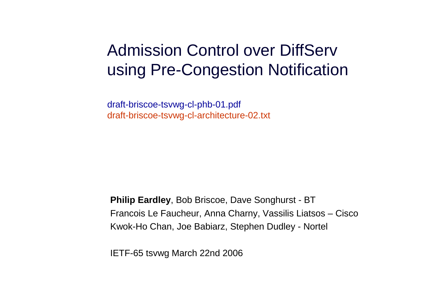#### Admission Control over DiffServ using Pre-Congestion Notification

draft-briscoe-tsvwg-cl-phb-01.pdfdraft-briscoe-tsvwg-cl-architecture-02.txt

**Philip Eardley**, Bob Briscoe, Dave Songhurst - BT Francois Le Faucheur, Anna Charny, Vassilis Liatsos – CiscoKwok-Ho Chan, Joe Babiarz, Stephen Dudley - Nortel

IETF-65 tsvwg March 22nd 2006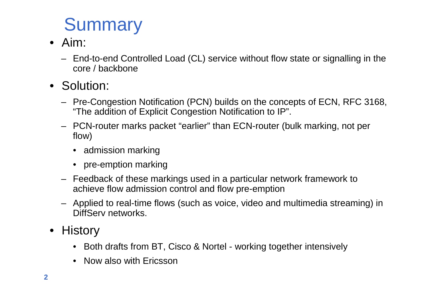# **Summary**

- Aim:
	- End-to-end Controlled Load (CL) service without flow state or signalling in the core / backbone
- Solution:
	- Pre-Congestion Notification (PCN) builds on the concepts of ECN, RFC 3168, "The addition of Explicit Congestion Notification to IP".
	- PCN-router marks packet "earlier" than ECN-router (bulk marking, not per flow)
		- admission marking
		- pre-emption marking
	- Feedback of these markings used in a particular network framework to achieve flow admission control and flow pre-emption
	- Applied to real-time flows (such as voice, video and multimedia streaming) in DiffServ networks.
- History
	- Both drafts from BT, Cisco & Nortel working together intensively
	- Now also with Ericsson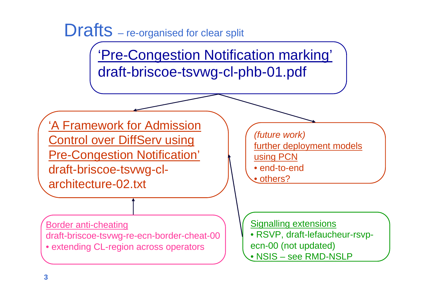

'Pre-Congestion Notification marking'draft-briscoe-tsvwg-cl-phb-01.pdf

'A Framework for Admission **Control over DiffServ using** Pre-Congestion Notification'draft-briscoe-tsvwg-clarchitecture-02.txt

Border anti-cheating draft-briscoe-tsvwg-re-ecn-border-cheat-00• extending CL-region across operators

(future work)further deployment models using PCN • end-to-end<u>• others?</u>

Signalling extensions • RSVP, draft-lefaucheur-rsvpecn-00 (not updated)• NSIS – see RMD-NSLP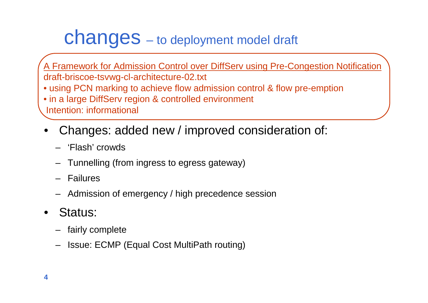### changes – to deployment model draft

A Framework for Admission Control over DiffServ using Pre-Congestion Notificationdraft-briscoe-tsvwg-cl-architecture-02.txt • using PCN marking to achieve flow admission control & flow pre-emption• in a large DiffServ region & controlled environment Intention: informational

- • Changes: added new / improved consideration of:
	- 'Flash' crowds
	- Tunnelling (from ingress to egress gateway)
	- Failures
	- Admission of emergency / high precedence session
- • Status:
	- fairly complete
	- –Issue: ECMP (Equal Cost MultiPath routing)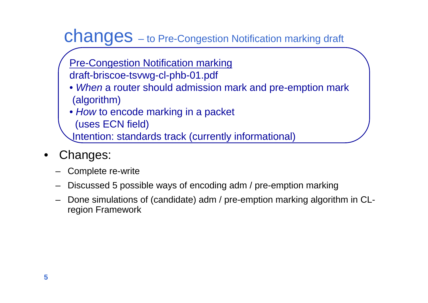#### changes – to Pre-Congestion Notification marking draft

- Pre-Congestion Notification marking
- draft-briscoe-tsvwg-cl-phb-01.pdf
- *When* a router should admission mark and pre-emption mark (algorithm)
- How to encode marking in a packet
- (uses ECN field)
- Intention: standards track (currently informational)
- $\bullet$  Changes:
	- Complete re-write
	- Discussed 5 possible ways of encoding adm / pre-emption marking
	- Done simulations of (candidate) adm / pre-emption marking algorithm in CLregion Framework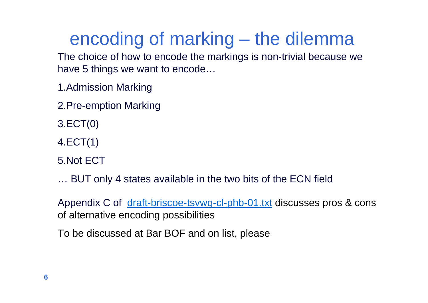### encoding of marking – the dilemma

 The choice of how to encode the markings is non-trivial because we have 5 things we want to encode…

- 1.Admission Marking
- 2.Pre-emption Marking
- 3.ECT(0)
- 4.ECT(1)
- 5.Not ECT
- … BUT only 4 states available in the two bits of the ECN field

Appendix C of <u>draft-briscoe-tsvwg-cl-phb-01.txt</u> discusses pros & cons of alternative encoding possibilities

To be discussed at Bar BOF and on list, please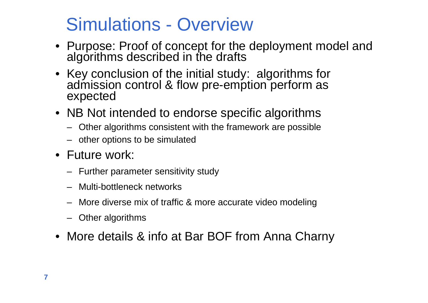#### Simulations - Overview

- Purpose: Proof of concept for the deployment model and<br>algorithms described in the drafts
- Key conclusion of the initial study: algorithms for admission control & flow pre-emption perform as expected
- NB Not intended to endorse specific algorithms
	- Other algorithms consistent with the framework are possible
	- other options to be simulated
- Future work:
	- Further parameter sensitivity study
	- Multi-bottleneck networks
	- More diverse mix of traffic & more accurate video modeling
	- Other algorithms
- More details & info at Bar BOF from Anna Charny